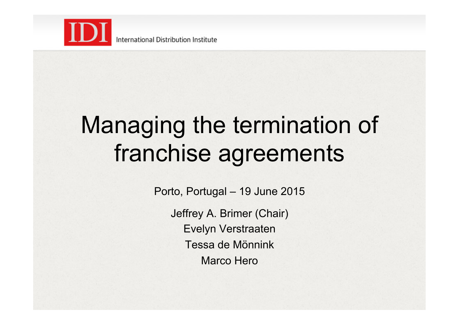

## Managing the termination of franchise agreements

Porto, Portugal – 19 June 2015

Jeffrey A. Brimer (Chair) Evelyn Verstraaten Tessa de Mönnink Marco Hero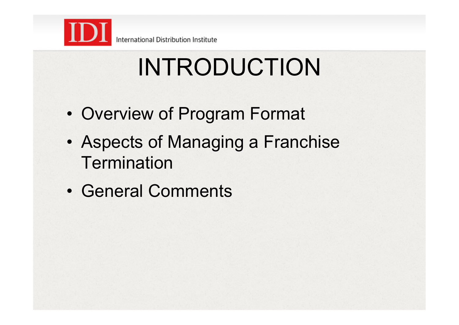

# INTRODUCTION

- Overview of Program Format
- Aspects of Managing a Franchise **Termination**
- General Comments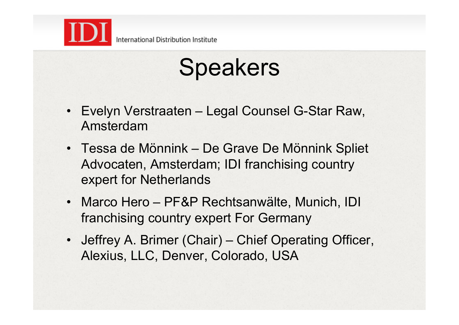

## Speakers

- Evelyn Verstraaten Legal Counsel G-Star Raw, Amsterdam
- Tessa de Mönnink De Grave De Mönnink Spliet Advocaten, Amsterdam; IDI franchising country expert for Netherlands
- Marco Hero PF&P Rechtsanwälte, Munich, IDI franchising country expert For Germany
- Jeffrey A. Brimer (Chair) Chief Operating Officer, Alexius, LLC, Denver, Colorado, USA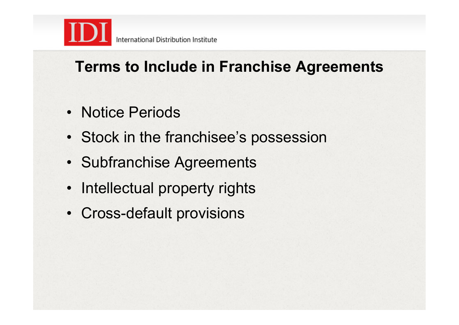

### **Terms to Include in Franchise Agreements**

- Notice Periods
- Stock in the franchisee's possession
- Subfranchise Agreements
- Intellectual property rights
- Cross-default provisions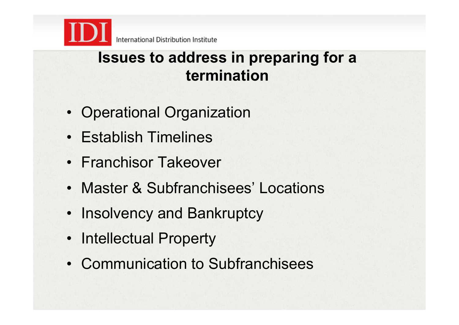

### **Issues to address in preparing for a termination**

- Operational Organization
- Establish Timelines
- Franchisor Takeover
- Master & Subfranchisees' Locations
- Insolvency and Bankruptcy
- Intellectual Property
- Communication to Subfranchisees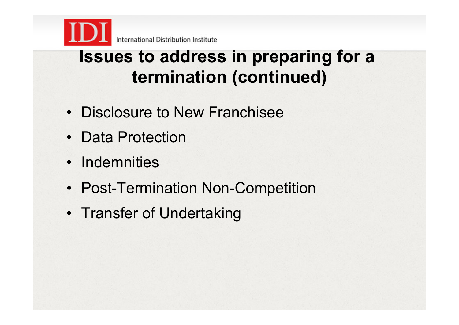

### **Issues to address in preparing for a termination (continued)**

- Disclosure to New Franchisee
- Data Protection
- Indemnities
- Post-Termination Non-Competition
- Transfer of Undertaking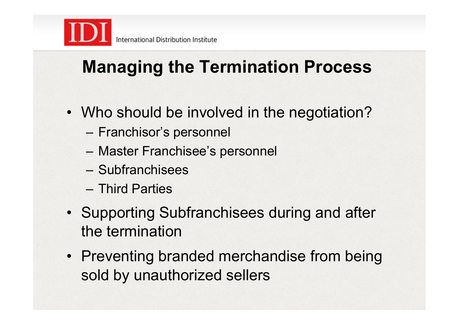

### **Managing the Termination Process**

- Who should be involved in the negotiation?
	- Franchisor's personnel
	- Master Franchisee's personnel
	- Subfranchisees
	- Third Parties
- Supporting Subfranchisees during and after the termination
- Preventing branded merchandise from being sold by unauthorized sellers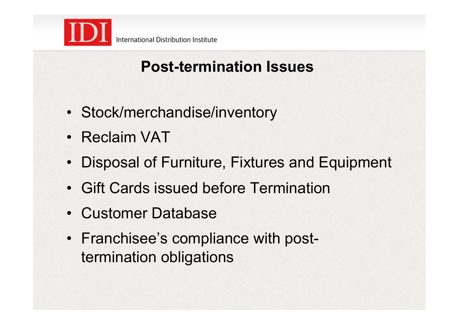

### **Post-termination Issues**

- Stock/merchandise/inventory
- Reclaim VAT
- Disposal of Furniture, Fixtures and Equipment
- Gift Cards issued before Termination
- Customer Database
- Franchisee's compliance with posttermination obligations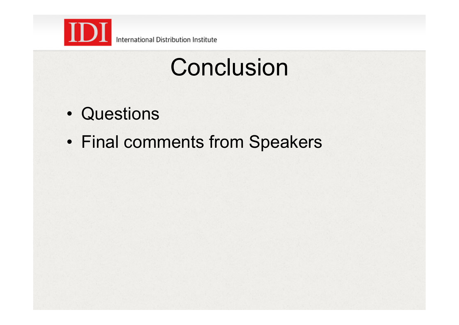

International Distribution Institute

## **Conclusion**

- Questions
- Final comments from Speakers